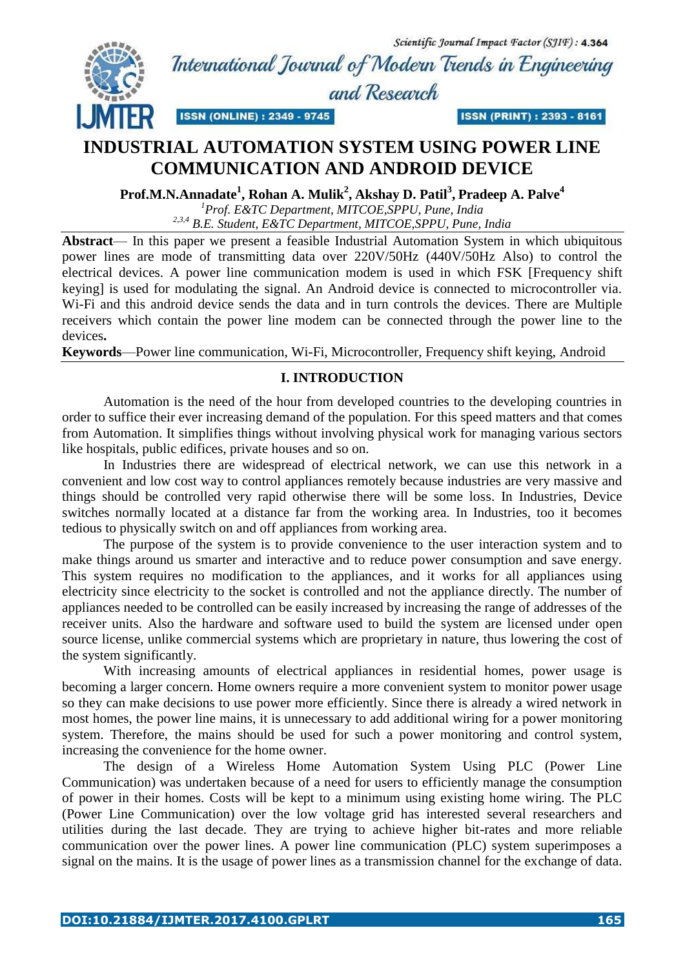Scientific Journal Impact Factor (SJIF): 4.364 International Jownal of Modern Trends in Engineering



and Research

**ISSN (PRINT): 2393 - 8161** 

# **INDUSTRIAL AUTOMATION SYSTEM USING POWER LINE COMMUNICATION AND ANDROID DEVICE**

**ISSN (ONLINE): 2349 - 9745** 

**Prof.M.N.Annadate<sup>1</sup> , Rohan A. Mulik<sup>2</sup> , Akshay D. Patil<sup>3</sup> , Pradeep A. Palve<sup>4</sup>**

*<sup>1</sup>Prof. E&TC Department, MITCOE,SPPU, Pune, India 2,3,4 B.E. Student, E&TC Department, MITCOE,SPPU, Pune, India*

**Abstract**— In this paper we present a feasible Industrial Automation System in which ubiquitous power lines are mode of transmitting data over 220V/50Hz (440V/50Hz Also) to control the electrical devices. A power line communication modem is used in which FSK [Frequency shift keying] is used for modulating the signal. An Android device is connected to microcontroller via. Wi-Fi and this android device sends the data and in turn controls the devices. There are Multiple receivers which contain the power line modem can be connected through the power line to the devices**.**

**Keywords**—Power line communication, Wi-Fi, Microcontroller, Frequency shift keying, Android

# **I. INTRODUCTION**

Automation is the need of the hour from developed countries to the developing countries in order to suffice their ever increasing demand of the population. For this speed matters and that comes from Automation. It simplifies things without involving physical work for managing various sectors like hospitals, public edifices, private houses and so on.

In Industries there are widespread of electrical network, we can use this network in a convenient and low cost way to control appliances remotely because industries are very massive and things should be controlled very rapid otherwise there will be some loss. In Industries, Device switches normally located at a distance far from the working area. In Industries, too it becomes tedious to physically switch on and off appliances from working area.

The purpose of the system is to provide convenience to the user interaction system and to make things around us smarter and interactive and to reduce power consumption and save energy. This system requires no modification to the appliances, and it works for all appliances using electricity since electricity to the socket is controlled and not the appliance directly. The number of appliances needed to be controlled can be easily increased by increasing the range of addresses of the receiver units. Also the hardware and software used to build the system are licensed under open source license, unlike commercial systems which are proprietary in nature, thus lowering the cost of the system significantly.

With increasing amounts of electrical appliances in residential homes, power usage is becoming a larger concern. Home owners require a more convenient system to monitor power usage so they can make decisions to use power more efficiently. Since there is already a wired network in most homes, the power line mains, it is unnecessary to add additional wiring for a power monitoring system. Therefore, the mains should be used for such a power monitoring and control system, increasing the convenience for the home owner.

The design of a Wireless Home Automation System Using PLC (Power Line Communication) was undertaken because of a need for users to efficiently manage the consumption of power in their homes. Costs will be kept to a minimum using existing home wiring. The PLC (Power Line Communication) over the low voltage grid has interested several researchers and utilities during the last decade. They are trying to achieve higher bit-rates and more reliable communication over the power lines. A power line communication (PLC) system superimposes a signal on the mains. It is the usage of power lines as a transmission channel for the exchange of data.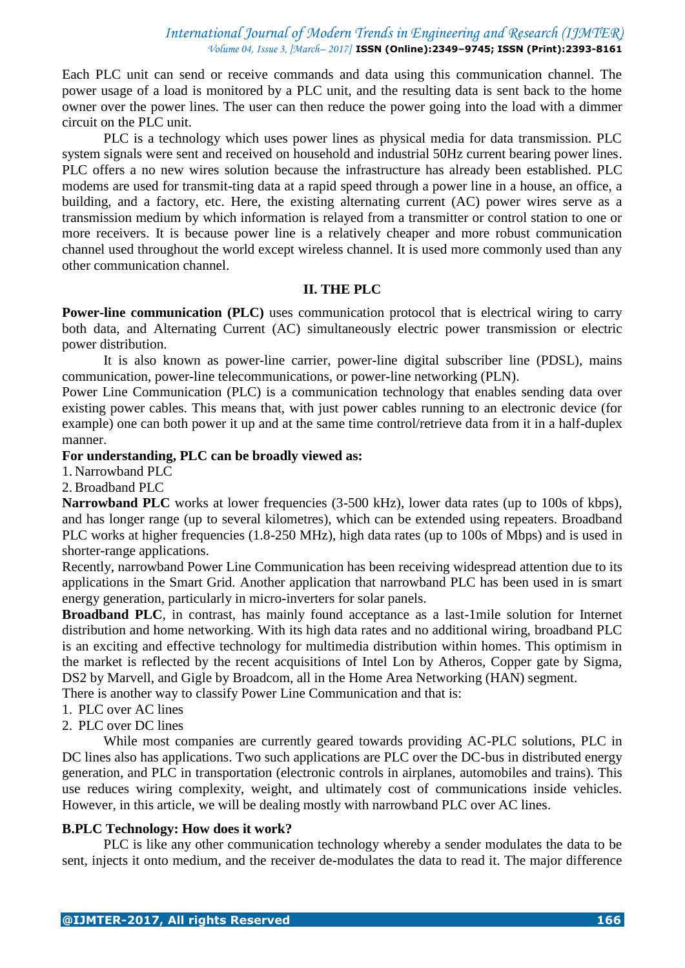Each PLC unit can send or receive commands and data using this communication channel. The power usage of a load is monitored by a PLC unit, and the resulting data is sent back to the home owner over the power lines. The user can then reduce the power going into the load with a dimmer circuit on the PLC unit.

PLC is a technology which uses power lines as physical media for data transmission. PLC system signals were sent and received on household and industrial 50Hz current bearing power lines. PLC offers a no new wires solution because the infrastructure has already been established. PLC modems are used for transmit-ting data at a rapid speed through a power line in a house, an office, a building, and a factory, etc. Here, the existing alternating current (AC) power wires serve as a transmission medium by which information is relayed from a transmitter or control station to one or more receivers. It is because power line is a relatively cheaper and more robust communication channel used throughout the world except wireless channel. It is used more commonly used than any other communication channel.

#### **II. THE PLC**

**Power-line communication (PLC)** uses communication protocol that is electrical wiring to carry both data, and Alternating Current (AC) simultaneously electric power transmission or electric power distribution.

It is also known as power-line carrier, power-line digital subscriber line (PDSL), mains communication, power-line telecommunications, or power-line networking (PLN).

Power Line Communication (PLC) is a communication technology that enables sending data over existing power cables. This means that, with just power cables running to an electronic device (for example) one can both power it up and at the same time control/retrieve data from it in a half-duplex manner.

#### **For understanding, PLC can be broadly viewed as:**

1. Narrowband PLC

2. Broadband PLC

**Narrowband PLC** works at lower frequencies (3-500 kHz), lower data rates (up to 100s of kbps), and has longer range (up to several kilometres), which can be extended using repeaters. Broadband PLC works at higher frequencies (1.8-250 MHz), high data rates (up to 100s of Mbps) and is used in shorter-range applications.

Recently, narrowband Power Line Communication has been receiving widespread attention due to its applications in the Smart Grid. Another application that narrowband PLC has been used in is smart energy generation, particularly in micro-inverters for solar panels.

**Broadband PLC**, in contrast, has mainly found acceptance as a last-1mile solution for Internet distribution and home networking. With its high data rates and no additional wiring, broadband PLC is an exciting and effective technology for multimedia distribution within homes. This optimism in the market is reflected by the recent acquisitions of Intel Lon by Atheros, Copper gate by Sigma, DS2 by Marvell, and Gigle by Broadcom, all in the Home Area Networking (HAN) segment.

There is another way to classify Power Line Communication and that is:

- 1. PLC over AC lines
- 2. PLC over DC lines

While most companies are currently geared towards providing AC-PLC solutions, PLC in DC lines also has applications. Two such applications are PLC over the DC-bus in distributed energy generation, and PLC in transportation (electronic controls in airplanes, automobiles and trains). This use reduces wiring complexity, weight, and ultimately cost of communications inside vehicles. However, in this article, we will be dealing mostly with narrowband PLC over AC lines.

#### **B.PLC Technology: How does it work?**

PLC is like any other communication technology whereby a sender modulates the data to be sent, injects it onto medium, and the receiver de-modulates the data to read it. The major difference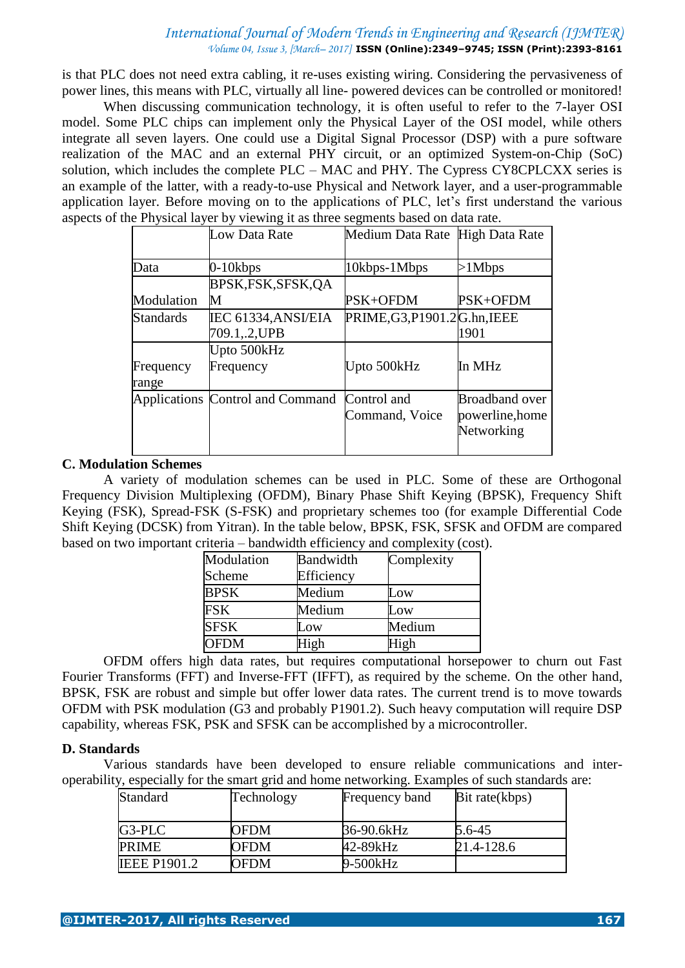is that PLC does not need extra cabling, it re-uses existing wiring. Considering the pervasiveness of power lines, this means with PLC, virtually all line- powered devices can be controlled or monitored!

 When discussing communication technology, it is often useful to refer to the 7-layer OSI model. Some PLC chips can implement only the Physical Layer of the OSI model, while others integrate all seven layers. One could use a Digital Signal Processor (DSP) with a pure software realization of the MAC and an external PHY circuit, or an optimized System-on-Chip (SoC) solution, which includes the complete PLC – MAC and PHY. The Cypress CY8CPLCXX series is an example of the latter, with a ready-to-use Physical and Network layer, and a user-programmable application layer. Before moving on to the applications of PLC, let's first understand the various aspects of the Physical layer by viewing it as three segments based on data rate.

| Low Data Rate                    |                |                                                                                |
|----------------------------------|----------------|--------------------------------------------------------------------------------|
|                                  |                |                                                                                |
| $0-10kbps$                       | 10kbps-1Mbps   | $>1$ Mbps                                                                      |
| BPSK, FSK, SFSK, QA              |                |                                                                                |
| M                                | PSK+OFDM       | PSK+OFDM                                                                       |
| IEC 61334, ANSI/EIA              |                |                                                                                |
| 709.1,.2,UPB                     |                | 1901                                                                           |
| Upto 500kHz                      |                |                                                                                |
| Frequency                        | Upto 500kHz    | In MHz                                                                         |
|                                  |                |                                                                                |
| Applications Control and Command |                | <b>Broadband over</b>                                                          |
|                                  | Command, Voice | powerline, home                                                                |
|                                  |                | Networking                                                                     |
|                                  |                |                                                                                |
|                                  |                | Medium Data Rate High Data Rate<br>PRIME, G3, P1901.2G.hn, IEEE<br>Control and |

#### **C. Modulation Schemes**

A variety of modulation schemes can be used in PLC. Some of these are Orthogonal Frequency Division Multiplexing (OFDM), Binary Phase Shift Keying (BPSK), Frequency Shift Keying (FSK), Spread-FSK (S-FSK) and proprietary schemes too (for example Differential Code Shift Keying (DCSK) from Yitran). In the table below, BPSK, FSK, SFSK and OFDM are compared based on two important criteria – bandwidth efficiency and complexity (cost).

| Modulation  | Bandwidth  | Complexity      |
|-------------|------------|-----------------|
| Scheme      | Efficiency |                 |
| <b>BPSK</b> | Medium     | Low             |
| <b>FSK</b>  | Medium     | $_{\text{10W}}$ |
| <b>SFSK</b> | .ow        | Medium          |
| <b>OFDM</b> | High       | High            |

OFDM offers high data rates, but requires computational horsepower to churn out Fast Fourier Transforms (FFT) and Inverse-FFT (IFFT), as required by the scheme. On the other hand, BPSK, FSK are robust and simple but offer lower data rates. The current trend is to move towards OFDM with PSK modulation (G3 and probably P1901.2). Such heavy computation will require DSP capability, whereas FSK, PSK and SFSK can be accomplished by a microcontroller.

#### **D. Standards**

Various standards have been developed to ensure reliable communications and interoperability, especially for the smart grid and home networking. Examples of such standards are:

| <b>Standard</b>     | Technology | Frequency band | Bit rate(kbps) |
|---------------------|------------|----------------|----------------|
|                     |            |                |                |
| G3-PLC              | OFDM       | 36-90.6kHz     | $5.6 - 45$     |
| <b>PRIME</b>        | OFDM       | 42-89kHz       | 21.4-128.6     |
| <b>IEEE P1901.2</b> | OFDM       | 9-500kHz       |                |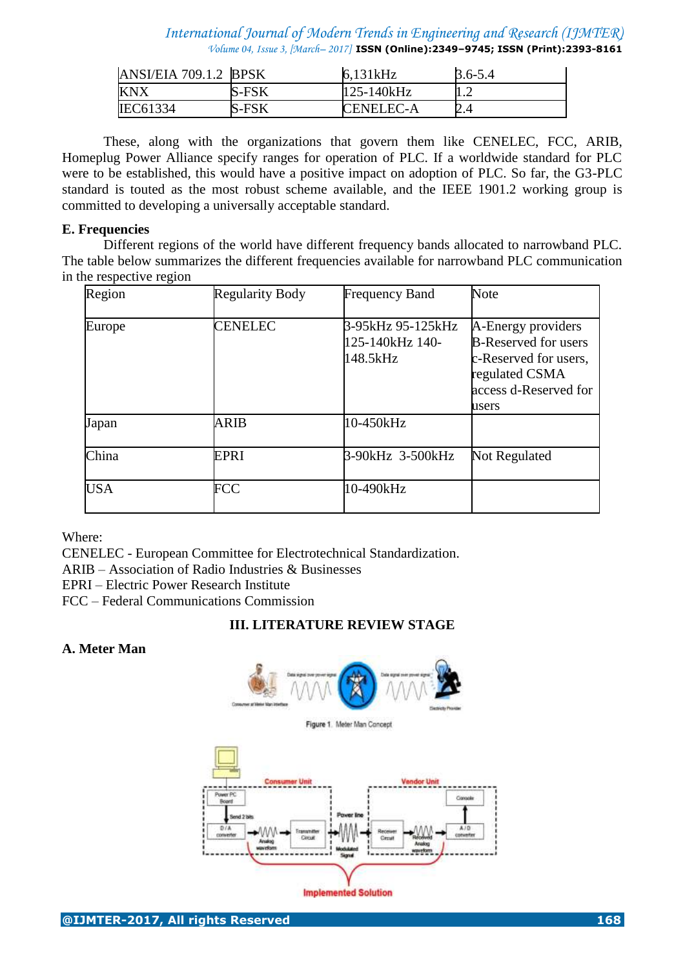| ANSI/EIA 709.1.2 BPSK |              | 6,131kHz         | $3.6 - 5.4$ |
|-----------------------|--------------|------------------|-------------|
| KNX                   | <b>S-FSK</b> | 125-140kHz       |             |
| <b>IEC61334</b>       | <b>S-FSK</b> | <b>CENELEC-A</b> |             |

These, along with the organizations that govern them like CENELEC, FCC, ARIB, Homeplug Power Alliance specify ranges for operation of PLC. If a worldwide standard for PLC were to be established, this would have a positive impact on adoption of PLC. So far, the G3-PLC standard is touted as the most robust scheme available, and the IEEE 1901.2 working group is committed to developing a universally acceptable standard.

#### **E. Frequencies**

Different regions of the world have different frequency bands allocated to narrowband PLC. The table below summarizes the different frequencies available for narrowband PLC communication in the respective region

| Region     | <b>Regularity Body</b> | <b>Frequency Band</b>                             | Note                                                                                                                           |
|------------|------------------------|---------------------------------------------------|--------------------------------------------------------------------------------------------------------------------------------|
| Europe     | <b>CENELEC</b>         | 3-95kHz 95-125kHz<br>125-140 kHz 140-<br>148.5kHz | A-Energy providers<br><b>B-Reserved for users</b><br>c-Reserved for users,<br>regulated CSMA<br>access d-Reserved for<br>users |
| Japan      | ARIB                   | 10-450kHz                                         |                                                                                                                                |
| China      | <b>EPRI</b>            | 3-90kHz 3-500kHz                                  | <b>Not Regulated</b>                                                                                                           |
| <b>USA</b> | <b>FCC</b>             | 10-490kHz                                         |                                                                                                                                |

Where:

CENELEC - European Committee for Electrotechnical Standardization.

ARIB – Association of Radio Industries & Businesses

EPRI – Electric Power Research Institute

FCC – Federal Communications Commission

# **III. LITERATURE REVIEW STAGE**

# **A. Meter Man**

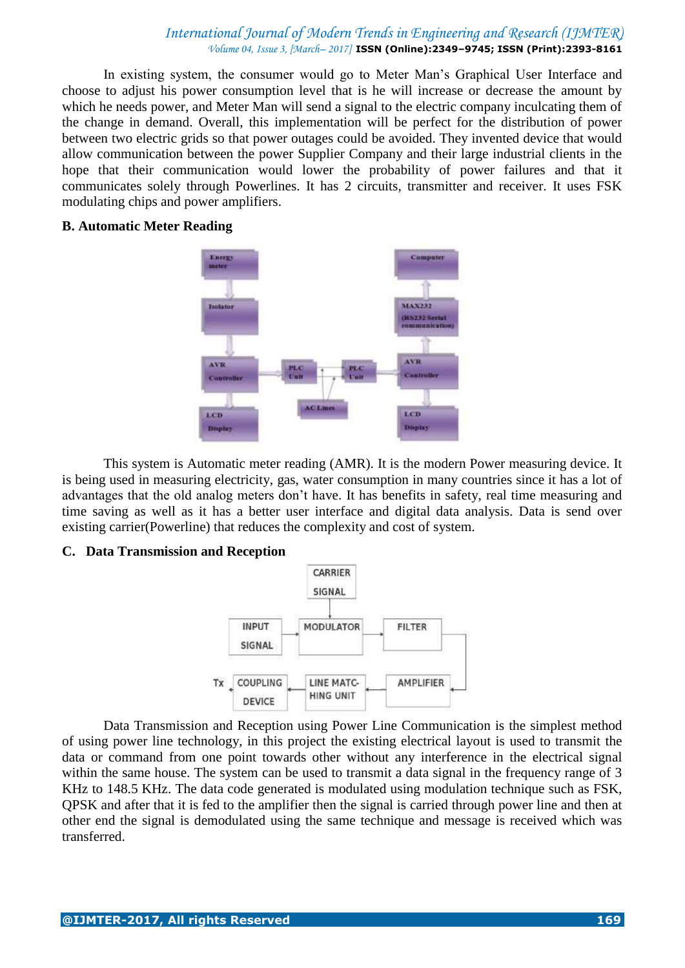In existing system, the consumer would go to Meter Man's Graphical User Interface and choose to adjust his power consumption level that is he will increase or decrease the amount by which he needs power, and Meter Man will send a signal to the electric company inculcating them of the change in demand. Overall, this implementation will be perfect for the distribution of power between two electric grids so that power outages could be avoided. They invented device that would allow communication between the power Supplier Company and their large industrial clients in the hope that their communication would lower the probability of power failures and that it communicates solely through Powerlines. It has 2 circuits, transmitter and receiver. It uses FSK modulating chips and power amplifiers.

#### **B. Automatic Meter Reading**



This system is Automatic meter reading (AMR). It is the modern Power measuring device. It is being used in measuring electricity, gas, water consumption in many countries since it has a lot of advantages that the old analog meters don't have. It has benefits in safety, real time measuring and time saving as well as it has a better user interface and digital data analysis. Data is send over existing carrier(Powerline) that reduces the complexity and cost of system.

#### **C. Data Transmission and Reception**



Data Transmission and Reception using Power Line Communication is the simplest method of using power line technology, in this project the existing electrical layout is used to transmit the data or command from one point towards other without any interference in the electrical signal within the same house. The system can be used to transmit a data signal in the frequency range of 3 KHz to 148.5 KHz. The data code generated is modulated using modulation technique such as FSK, QPSK and after that it is fed to the amplifier then the signal is carried through power line and then at other end the signal is demodulated using the same technique and message is received which was transferred.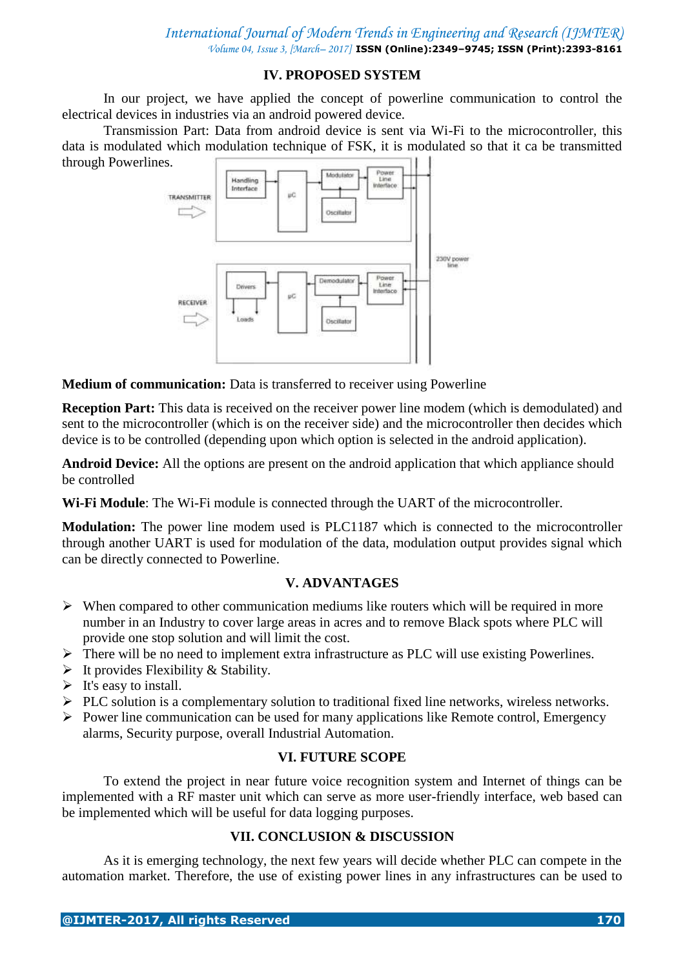# **IV. PROPOSED SYSTEM**

In our project, we have applied the concept of powerline communication to control the electrical devices in industries via an android powered device.

Transmission Part: Data from android device is sent via Wi-Fi to the microcontroller, this data is modulated which modulation technique of FSK, it is modulated so that it ca be transmitted through Powerlines.



**Medium of communication:** Data is transferred to receiver using Powerline

**Reception Part:** This data is received on the receiver power line modem (which is demodulated) and sent to the microcontroller (which is on the receiver side) and the microcontroller then decides which device is to be controlled (depending upon which option is selected in the android application).

**Android Device:** All the options are present on the android application that which appliance should be controlled

**Wi-Fi Module**: The Wi-Fi module is connected through the UART of the microcontroller.

**Modulation:** The power line modem used is PLC1187 which is connected to the microcontroller through another UART is used for modulation of the data, modulation output provides signal which can be directly connected to Powerline.

# **V. ADVANTAGES**

- $\triangleright$  When compared to other communication mediums like routers which will be required in more number in an Industry to cover large areas in acres and to remove Black spots where PLC will provide one stop solution and will limit the cost.
- There will be no need to implement extra infrastructure as PLC will use existing Powerlines.
- $\triangleright$  It provides Flexibility & Stability.
- $\triangleright$  It's easy to install.
- $\triangleright$  PLC solution is a complementary solution to traditional fixed line networks, wireless networks.
- $\triangleright$  Power line communication can be used for many applications like Remote control, Emergency alarms, Security purpose, overall Industrial Automation.

# **VI. FUTURE SCOPE**

To extend the project in near future voice recognition system and Internet of things can be implemented with a RF master unit which can serve as more user-friendly interface, web based can be implemented which will be useful for data logging purposes.

# **VII. CONCLUSION & DISCUSSION**

As it is emerging technology, the next few years will decide whether PLC can compete in the automation market. Therefore, the use of existing power lines in any infrastructures can be used to